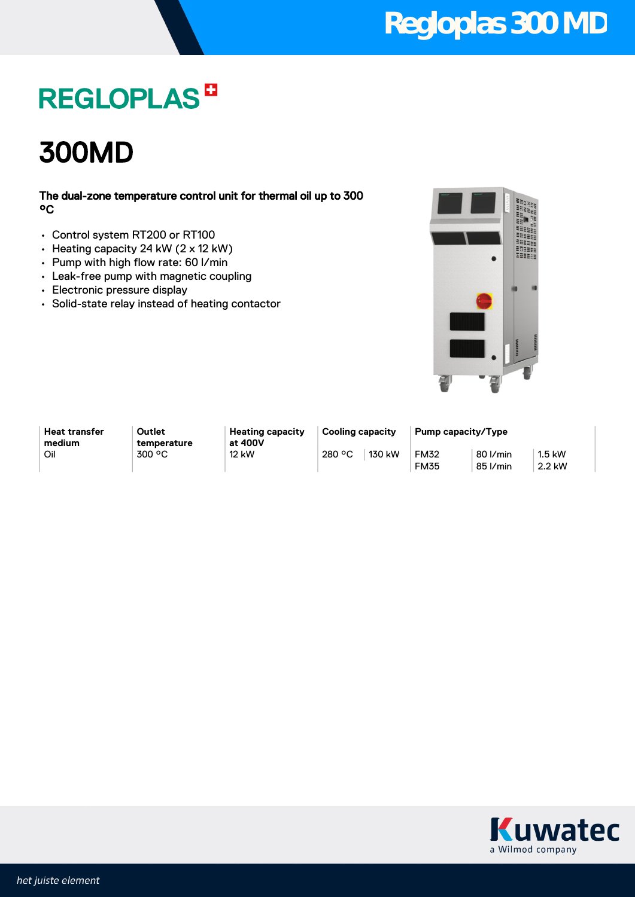## **Regloplas 300 MD**

## **REGLOPLAS<sup>B</sup>**

300MD

### The dual-zone temperature control unit for thermal oil up to 300 °C

- Control system RT200 or RT100
- Heating capacity 24 kW (2 x 12 kW)
- Pump with high flow rate: 60 l/min
- Leak-free pump with magnetic coupling
- Electronic pressure display
- Solid-state relay instead of heating contactor



**Heat transfer medium**

**Outlet temperature** **Heating capacity at 400V**

**Cooling capacity Pump capacity/Type** Oil 300 °C 130 kW 280 °C 130 kW FM32

80 l/min 85 l/min

FM35

1.5 kW 2.2 kW

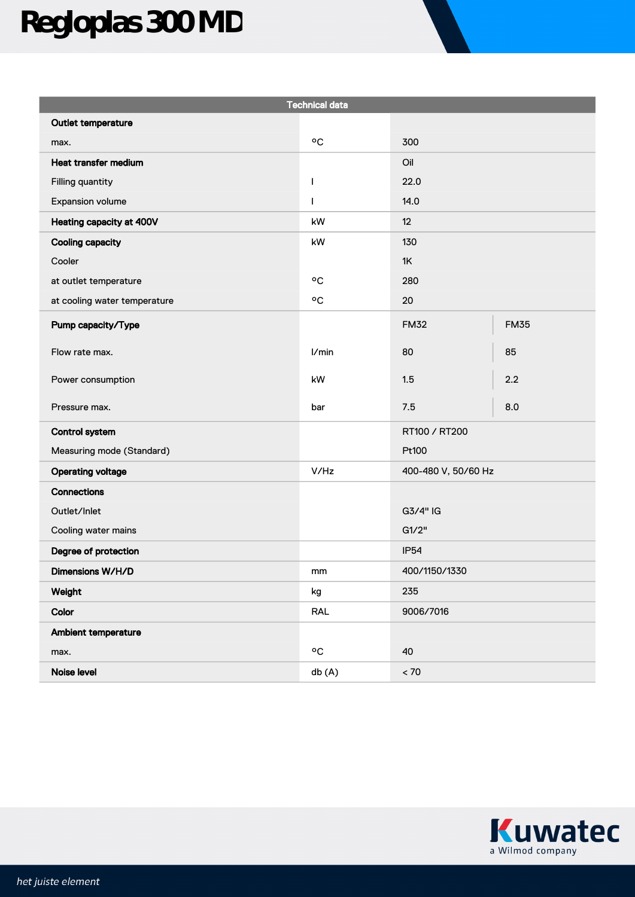# **Regloplas 300 MD**

| <b>Technical data</b>        |                           |                     |             |
|------------------------------|---------------------------|---------------------|-------------|
| Outlet temperature           |                           |                     |             |
| max.                         | °C                        | 300                 |             |
| Heat transfer medium         |                           | Oil                 |             |
| Filling quantity             | T                         | 22.0                |             |
| Expansion volume             | T                         | 14.0                |             |
| Heating capacity at 400V     | kW                        | 12                  |             |
| <b>Cooling capacity</b>      | kW                        | 130                 |             |
| Cooler                       |                           | 1K                  |             |
| at outlet temperature        | °C                        | 280                 |             |
| at cooling water temperature | $^{\mathrm{o}}\mathrm{C}$ | 20                  |             |
| Pump capacity/Type           |                           | <b>FM32</b>         | <b>FM35</b> |
| Flow rate max.               | 1/min                     | 80                  | 85          |
| Power consumption            | kW                        | 1.5                 | 2.2         |
| Pressure max.                | bar                       | 7.5                 | 8.0         |
| <b>Control system</b>        |                           | RT100 / RT200       |             |
| Measuring mode (Standard)    |                           | Pt100               |             |
| <b>Operating voltage</b>     | V/Hz                      | 400-480 V, 50/60 Hz |             |
| <b>Connections</b>           |                           |                     |             |
| Outlet/Inlet                 |                           | G3/4" IG            |             |
| Cooling water mains          |                           | G1/2"               |             |
| Degree of protection         |                           | <b>IP54</b>         |             |
| Dimensions W/H/D             | mm                        | 400/1150/1330       |             |
| Weight                       | kg                        | 235                 |             |
| Color                        | RAL                       | 9006/7016           |             |
| Ambient temperature          |                           |                     |             |
| max.                         | ٥C                        | 40                  |             |
| Noise level                  | db (A)                    | $< 70\,$            |             |